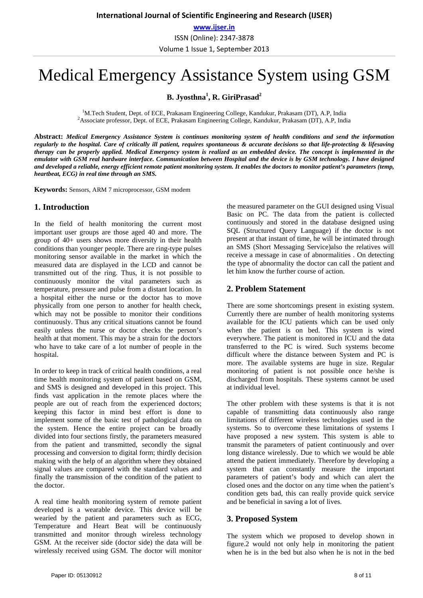# Medical Emergency Assistance System using GSM

**B. Jyosthna1 , R. GiriPrasad2**

<sup>1</sup>M.Tech Student, Dept. of ECE, Prakasam Engineering College, Kandukur, Prakasam (DT), A.P, India  $^{2}$ Associate professor, Dopt. of ECE, Prakasam Engineering College, Kandulur, Prakasam (DT), A.P. India <sup>2</sup> Associate professor, Dept. of ECE, Prakasam Engineering College, Kandukur, Prakasam (DT), A.P, India

**Abstract:** *Medical Emergency Assistance System is continues monitoring system of health conditions and send the information regularly to the hospital. Care of critically ill patient, requires spontaneous & accurate decisions so that life-protecting & lifesaving therapy can be properly applied. Medical Emergency system is realized as an embedded device. The concept is implemented in the emulator with GSM real hardware interface. Communication between Hospital and the device is by GSM technology. I have designed and developed a reliable, energy efficient remote patient monitoring system. It enables the doctors to monitor patient's parameters (temp, heartbeat, ECG) in real time through an SMS.*

**Keywords:** Sensors, ARM 7 microprocessor, GSM modem

#### **1. Introduction**

In the field of health monitoring the current most important user groups are those aged 40 and more. The group of 40+ users shows more diversity in their health conditions than younger people. There are ring-type pulses monitoring sensor available in the market in which the measured data are displayed in the LCD and cannot be transmitted out of the ring. Thus, it is not possible to continuously monitor the vital parameters such as temperature, pressure and pulse from a distant location. In a hospital either the nurse or the doctor has to move physically from one person to another for health check, which may not be possible to monitor their conditions continuously. Thus any critical situations cannot be found easily unless the nurse or doctor checks the person's health at that moment. This may be a strain for the doctors who have to take care of a lot number of people in the hospital.

In order to keep in track of critical health conditions, a real time health monitoring system of patient based on GSM, and SMS is designed and developed in this project. This finds vast application in the remote places where the people are out of reach from the experienced doctors; keeping this factor in mind best effort is done to implement some of the basic test of pathological data on the system. Hence the entire project can be broadly divided into four sections firstly, the parameters measured from the patient and transmitted, secondly the signal processing and conversion to digital form; thirdly decision making with the help of an algorithm where they obtained signal values are compared with the standard values and finally the transmission of the condition of the patient to the doctor.

A real time health monitoring system of remote patient developed is a wearable device. This device will be wearied by the patient and parameters such as ECG, Temperature and Heart Beat will be continuously transmitted and monitor through wireless technology GSM. At the receiver side (doctor side) the data will be wirelessly received using GSM. The doctor will monitor

the measured parameter on the GUI designed using Visual Basic on PC. The data from the patient is collected continuously and stored in the database designed using SQL (Structured Query Language) if the doctor is not present at that instant of time, he will be intimated through an SMS (Short Messaging Service)also the relatives will receive a message in case of abnormalities . On detecting the type of abnormality the doctor can call the patient and let him know the further course of action.

#### **2. Problem Statement**

There are some shortcomings present in existing system. Currently there are number of health monitoring systems available for the ICU patients which can be used only when the patient is on bed. This system is wired everywhere. The patient is monitored in ICU and the data transferred to the PC is wired. Such systems become difficult where the distance between System and PC is more. The available systems are huge in size. Regular monitoring of patient is not possible once he/she is discharged from hospitals. These systems cannot be used at individual level.

The other problem with these systems is that it is not capable of transmitting data continuously also range limitations of different wireless technologies used in the systems. So to overcome these limitations of systems I have proposed a new system. This system is able to transmit the parameters of patient continuously and over long distance wirelessly. Due to which we would be able attend the patient immediately. Therefore by developing a system that can constantly measure the important parameters of patient's body and which can alert the closed ones and the doctor on any time when the patient's condition gets bad, this can really provide quick service and be beneficial in saving a lot of lives.

#### **3. Proposed System**

The system which we proposed to develop shown in figure.2 would not only help in monitoring the patient when he is in the bed but also when he is not in the bed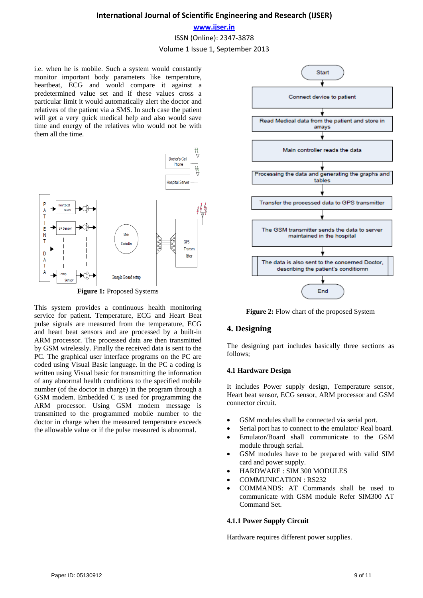#### **International Journal of Scientific Engineering and Research (IJSER)**

### **www.ijser.in** ISSN (Online): 2347‐3878 Volume 1 Issue 1, September 2013

i.e. when he is mobile. Such a system would constantly monitor important body parameters like temperature, heartbeat, ECG and would compare it against a predetermined value set and if these values cross a particular limit it would automatically alert the doctor and relatives of the patient via a SMS. In such case the patient will get a very quick medical help and also would save time and energy of the relatives who would not be with them all the time.



**Figure 1:** Proposed Systems

This system provides a continuous health monitoring service for patient. Temperature, ECG and Heart Beat pulse signals are measured from the temperature, ECG and heart beat sensors and are processed by a built-in ARM processor. The processed data are then transmitted by GSM wirelessly. Finally the received data is sent to the PC. The graphical user interface programs on the PC are coded using Visual Basic language. In the PC a coding is written using Visual basic for transmitting the information of any abnormal health conditions to the specified mobile number (of the doctor in charge) in the program through a GSM modem. Embedded C is used for programming the ARM processor. Using GSM modem message is transmitted to the programmed mobile number to the doctor in charge when the measured temperature exceeds the allowable value or if the pulse measured is abnormal.



**Figure 2:** Flow chart of the proposed System

#### **4. Designing**

The designing part includes basically three sections as follows;

#### **4.1 Hardware Design**

It includes Power supply design, Temperature sensor, Heart beat sensor, ECG sensor, ARM processor and GSM connector circuit.

- GSM modules shall be connected via serial port.
- Serial port has to connect to the emulator/ Real board.
- Emulator/Board shall communicate to the GSM module through serial.
- GSM modules have to be prepared with valid SIM card and power supply.
- HARDWARE : SIM 300 MODULES
- COMMUNICATION : RS232
- COMMANDS: AT Commands shall be used to communicate with GSM module Refer SIM300 AT Command Set.

#### **4.1.1 Power Supply Circuit**

Hardware requires different power supplies.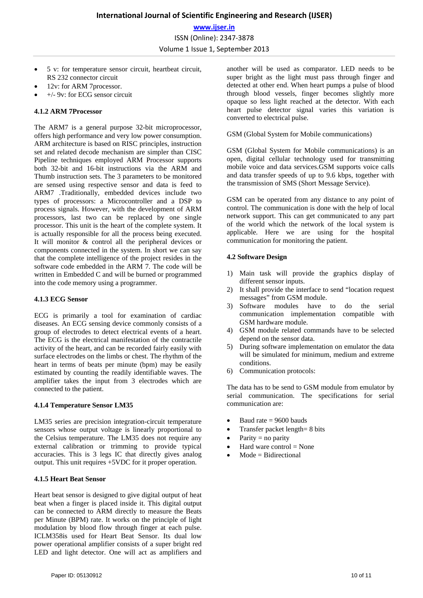- 5 v: for temperature sensor circuit, heartbeat circuit, RS 232 connector circuit
- 12v: for ARM 7processor.
- +/- 9v: for ECG sensor circuit

#### **4.1.2 ARM 7Processor**

The ARM7 is a general purpose 32-bit microprocessor, offers high performance and very low power consumption. ARM architecture is based on RISC principles, instruction set and related decode mechanism are simpler than CISC Pipeline techniques employed ARM Processor supports both 32-bit and 16-bit instructions via the ARM and Thumb instruction sets. The 3 parameters to be monitored are sensed using respective sensor and data is feed to ARM7 .Traditionally, embedded devices include two types of processors: a Microcontroller and a DSP to process signals. However, with the development of ARM processors, last two can be replaced by one single processor. This unit is the heart of the complete system. It is actually responsible for all the process being executed. It will monitor & control all the peripheral devices or components connected in the system. In short we can say that the complete intelligence of the project resides in the software code embedded in the ARM 7. The code will be written in Embedded C and will be burned or programmed into the code memory using a programmer.

#### **4.1.3 ECG Sensor**

ECG is primarily a tool for examination of cardiac diseases. An ECG sensing device commonly consists of a group of electrodes to detect electrical events of a heart. The ECG is the electrical manifestation of the contractile activity of the heart, and can be recorded fairly easily with surface electrodes on the limbs or chest. The rhythm of the heart in terms of beats per minute (bpm) may be easily estimated by counting the readily identifiable waves. The amplifier takes the input from 3 electrodes which are connected to the patient.

#### **4.1.4 Temperature Sensor LM35**

LM35 series are precision integration-circuit temperature sensors whose output voltage is linearly proportional to the Celsius temperature. The LM35 does not require any external calibration or trimming to provide typical accuracies. This is 3 legs IC that directly gives analog output. This unit requires +5VDC for it proper operation.

#### **4.1.5 Heart Beat Sensor**

Heart beat sensor is designed to give digital output of heat beat when a finger is placed inside it. This digital output can be connected to ARM directly to measure the Beats per Minute (BPM) rate. It works on the principle of light modulation by blood flow through finger at each pulse. ICLM358is used for Heart Beat Sensor. Its dual low power operational amplifier consists of a super bright red LED and light detector. One will act as amplifiers and another will be used as comparator. LED needs to be super bright as the light must pass through finger and detected at other end. When heart pumps a pulse of blood through blood vessels, finger becomes slightly more opaque so less light reached at the detector. With each heart pulse detector signal varies this variation is converted to electrical pulse.

#### GSM (Global System for Mobile communications)

GSM (Global System for Mobile communications) is an open, digital cellular technology used for transmitting mobile voice and data services.GSM supports voice calls and data transfer speeds of up to 9.6 kbps, together with the transmission of SMS (Short Message Service).

GSM can be operated from any distance to any point of control. The communication is done with the help of local network support. This can get communicated to any part of the world which the network of the local system is applicable. Here we are using for the hospital communication for monitoring the patient.

#### **4.2 Software Design**

- 1) Main task will provide the graphics display of different sensor inputs.
- 2) It shall provide the interface to send "location request messages" from GSM module.<br>3) Software modules have
- modules have to do the serial communication implementation compatible with GSM hardware module.
- 4) GSM module related commands have to be selected depend on the sensor data.
- 5) During software implementation on emulator the data will be simulated for minimum, medium and extreme conditions.
- 6) Communication protocols:

The data has to be send to GSM module from emulator by serial communication. The specifications for serial communication are:

- Baud rate  $= 9600$  bauds
- Transfer packet length= 8 bits
- Parity  $=$  no parity
- Hard ware control  $=$  None
- Mode = Bidirectional